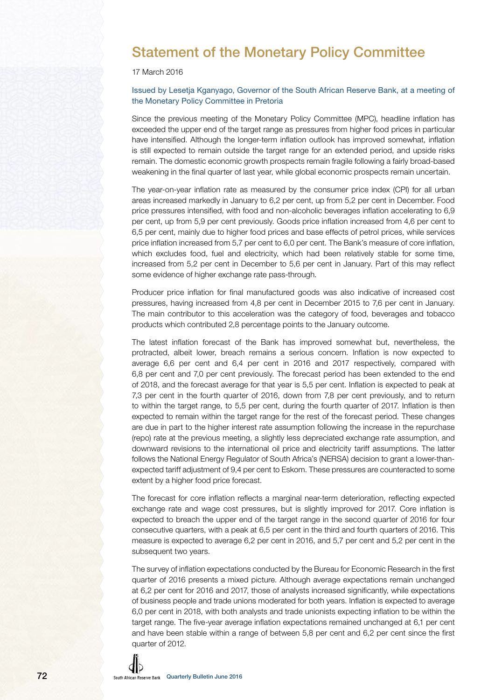

17 March 2016

### Issued by Lesetja Kganyago, Governor of the South African Reserve Bank, at a meeting of the Monetary Policy Committee in Pretoria

Since the previous meeting of the Monetary Policy Committee (MPC), headline inflation has exceeded the upper end of the target range as pressures from higher food prices in particular have intensified. Although the longer-term inflation outlook has improved somewhat, inflation is still expected to remain outside the target range for an extended period, and upside risks remain. The domestic economic growth prospects remain fragile following a fairly broad-based weakening in the final quarter of last year, while global economic prospects remain uncertain.

The year-on-year inflation rate as measured by the consumer price index (CPI) for all urban areas increased markedly in January to 6,2 per cent, up from 5,2 per cent in December. Food price pressures intensified, with food and non-alcoholic beverages inflation accelerating to 6,9 per cent, up from 5,9 per cent previously. Goods price inflation increased from 4,6 per cent to 6,5 per cent, mainly due to higher food prices and base effects of petrol prices, while services price inflation increased from 5,7 per cent to 6,0 per cent. The Bank's measure of core inflation, which excludes food, fuel and electricity, which had been relatively stable for some time, increased from 5,2 per cent in December to 5,6 per cent in January. Part of this may reflect some evidence of higher exchange rate pass-through.

Producer price inflation for final manufactured goods was also indicative of increased cost pressures, having increased from 4,8 per cent in December 2015 to 7,6 per cent in January. The main contributor to this acceleration was the category of food, beverages and tobacco products which contributed 2,8 percentage points to the January outcome.

The latest inflation forecast of the Bank has improved somewhat but, nevertheless, the protracted, albeit lower, breach remains a serious concern. Inflation is now expected to average 6,6 per cent and 6,4 per cent in 2016 and 2017 respectively, compared with 6,8 per cent and 7,0 per cent previously. The forecast period has been extended to the end of 2018, and the forecast average for that year is 5,5 per cent. Inflation is expected to peak at 7,3 per cent in the fourth quarter of 2016, down from 7,8 per cent previously, and to return to within the target range, to 5,5 per cent, during the fourth quarter of 2017. Inflation is then expected to remain within the target range for the rest of the forecast period. These changes are due in part to the higher interest rate assumption following the increase in the repurchase (repo) rate at the previous meeting, a slightly less depreciated exchange rate assumption, and downward revisions to the international oil price and electricity tariff assumptions. The latter follows the National Energy Regulator of South Africa's (NERSA) decision to grant a lower-thanexpected tariff adjustment of 9,4 per cent to Eskom. These pressures are counteracted to some extent by a higher food price forecast.

The forecast for core inflation reflects a marginal near-term deterioration, reflecting expected exchange rate and wage cost pressures, but is slightly improved for 2017. Core inflation is expected to breach the upper end of the target range in the second quarter of 2016 for four consecutive quarters, with a peak at 6,5 per cent in the third and fourth quarters of 2016. This measure is expected to average 6,2 per cent in 2016, and 5,7 per cent and 5,2 per cent in the subsequent two years.

The survey of inflation expectations conducted by the Bureau for Economic Research in the first quarter of 2016 presents a mixed picture. Although average expectations remain unchanged at 6,2 per cent for 2016 and 2017, those of analysts increased significantly, while expectations of business people and trade unions moderated for both years. Inflation is expected to average 6,0 per cent in 2018, with both analysts and trade unionists expecting inflation to be within the target range. The five-year average inflation expectations remained unchanged at 6,1 per cent and have been stable within a range of between 5,8 per cent and 6,2 per cent since the first quarter of 2012.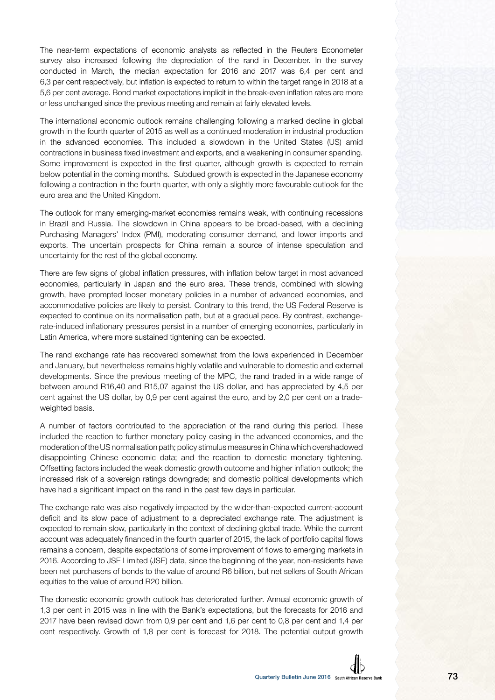The near-term expectations of economic analysts as reflected in the Reuters Econometer survey also increased following the depreciation of the rand in December. In the survey conducted in March, the median expectation for 2016 and 2017 was 6,4 per cent and 6,3 per cent respectively, but inflation is expected to return to within the target range in 2018 at a 5,6 per cent average. Bond market expectations implicit in the break-even inflation rates are more or less unchanged since the previous meeting and remain at fairly elevated levels.

The international economic outlook remains challenging following a marked decline in global growth in the fourth quarter of 2015 as well as a continued moderation in industrial production in the advanced economies. This included a slowdown in the United States (US) amid contractions in business fixed investment and exports, and a weakening in consumer spending. Some improvement is expected in the first quarter, although growth is expected to remain below potential in the coming months. Subdued growth is expected in the Japanese economy following a contraction in the fourth quarter, with only a slightly more favourable outlook for the euro area and the United Kingdom.

The outlook for many emerging-market economies remains weak, with continuing recessions in Brazil and Russia. The slowdown in China appears to be broad-based, with a declining Purchasing Managers' Index (PMI), moderating consumer demand, and lower imports and exports. The uncertain prospects for China remain a source of intense speculation and uncertainty for the rest of the global economy.

There are few signs of global inflation pressures, with inflation below target in most advanced economies, particularly in Japan and the euro area. These trends, combined with slowing growth, have prompted looser monetary policies in a number of advanced economies, and accommodative policies are likely to persist. Contrary to this trend, the US Federal Reserve is expected to continue on its normalisation path, but at a gradual pace. By contrast, exchangerate-induced inflationary pressures persist in a number of emerging economies, particularly in Latin America, where more sustained tightening can be expected.

The rand exchange rate has recovered somewhat from the lows experienced in December and January, but nevertheless remains highly volatile and vulnerable to domestic and external developments. Since the previous meeting of the MPC, the rand traded in a wide range of between around R16,40 and R15,07 against the US dollar, and has appreciated by 4,5 per cent against the US dollar, by 0,9 per cent against the euro, and by 2,0 per cent on a tradeweighted basis.

A number of factors contributed to the appreciation of the rand during this period. These included the reaction to further monetary policy easing in the advanced economies, and the moderation of the US normalisation path; policy stimulus measures in China which overshadowed disappointing Chinese economic data; and the reaction to domestic monetary tightening. Offsetting factors included the weak domestic growth outcome and higher inflation outlook; the increased risk of a sovereign ratings downgrade; and domestic political developments which have had a significant impact on the rand in the past few days in particular.

The exchange rate was also negatively impacted by the wider-than-expected current-account deficit and its slow pace of adjustment to a depreciated exchange rate. The adjustment is expected to remain slow, particularly in the context of declining global trade. While the current account was adequately financed in the fourth quarter of 2015, the lack of portfolio capital flows remains a concern, despite expectations of some improvement of flows to emerging markets in 2016. According to JSE Limited (JSE) data, since the beginning of the year, non-residents have been net purchasers of bonds to the value of around R6 billion, but net sellers of South African equities to the value of around R20 billion.

The domestic economic growth outlook has deteriorated further. Annual economic growth of 1,3 per cent in 2015 was in line with the Bank's expectations, but the forecasts for 2016 and 2017 have been revised down from 0,9 per cent and 1,6 per cent to 0,8 per cent and 1,4 per cent respectively. Growth of 1,8 per cent is forecast for 2018. The potential output growth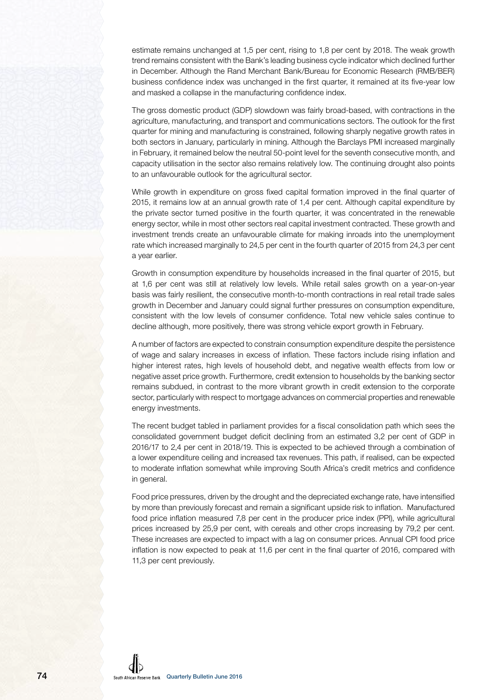estimate remains unchanged at 1,5 per cent, rising to 1,8 per cent by 2018. The weak growth trend remains consistent with the Bank's leading business cycle indicator which declined further in December. Although the Rand Merchant Bank/Bureau for Economic Research (RMB/BER) business confidence index was unchanged in the first quarter, it remained at its five-year low and masked a collapse in the manufacturing confidence index.

The gross domestic product (GDP) slowdown was fairly broad-based, with contractions in the agriculture, manufacturing, and transport and communications sectors. The outlook for the first quarter for mining and manufacturing is constrained, following sharply negative growth rates in both sectors in January, particularly in mining. Although the Barclays PMI increased marginally in February, it remained below the neutral 50-point level for the seventh consecutive month, and capacity utilisation in the sector also remains relatively low. The continuing drought also points to an unfavourable outlook for the agricultural sector.

While growth in expenditure on gross fixed capital formation improved in the final quarter of 2015, it remains low at an annual growth rate of 1,4 per cent. Although capital expenditure by the private sector turned positive in the fourth quarter, it was concentrated in the renewable energy sector, while in most other sectors real capital investment contracted. These growth and investment trends create an unfavourable climate for making inroads into the unemployment rate which increased marginally to 24,5 per cent in the fourth quarter of 2015 from 24,3 per cent a year earlier.

Growth in consumption expenditure by households increased in the final quarter of 2015, but at 1,6 per cent was still at relatively low levels. While retail sales growth on a year-on-year basis was fairly resilient, the consecutive month-to-month contractions in real retail trade sales growth in December and January could signal further pressures on consumption expenditure, consistent with the low levels of consumer confidence. Total new vehicle sales continue to decline although, more positively, there was strong vehicle export growth in February.

A number of factors are expected to constrain consumption expenditure despite the persistence of wage and salary increases in excess of inflation. These factors include rising inflation and higher interest rates, high levels of household debt, and negative wealth effects from low or negative asset price growth. Furthermore, credit extension to households by the banking sector remains subdued, in contrast to the more vibrant growth in credit extension to the corporate sector, particularly with respect to mortgage advances on commercial properties and renewable energy investments.

The recent budget tabled in parliament provides for a fiscal consolidation path which sees the consolidated government budget deficit declining from an estimated 3,2 per cent of GDP in 2016/17 to 2,4 per cent in 2018/19. This is expected to be achieved through a combination of a lower expenditure ceiling and increased tax revenues. This path, if realised, can be expected to moderate inflation somewhat while improving South Africa's credit metrics and confidence in general.

Food price pressures, driven by the drought and the depreciated exchange rate, have intensified by more than previously forecast and remain a significant upside risk to inflation. Manufactured food price inflation measured 7,8 per cent in the producer price index (PPI), while agricultural prices increased by 25,9 per cent, with cereals and other crops increasing by 79,2 per cent. These increases are expected to impact with a lag on consumer prices. Annual CPI food price inflation is now expected to peak at 11,6 per cent in the final quarter of 2016, compared with 11,3 per cent previously.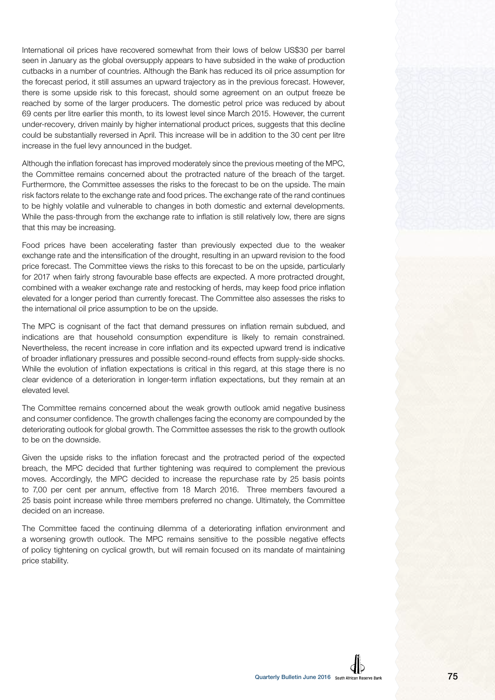International oil prices have recovered somewhat from their lows of below US\$30 per barrel seen in January as the global oversupply appears to have subsided in the wake of production cutbacks in a number of countries. Although the Bank has reduced its oil price assumption for the forecast period, it still assumes an upward trajectory as in the previous forecast. However, there is some upside risk to this forecast, should some agreement on an output freeze be reached by some of the larger producers. The domestic petrol price was reduced by about 69 cents per litre earlier this month, to its lowest level since March 2015. However, the current under-recovery, driven mainly by higher international product prices, suggests that this decline could be substantially reversed in April. This increase will be in addition to the 30 cent per litre increase in the fuel levy announced in the budget.

Although the inflation forecast has improved moderately since the previous meeting of the MPC, the Committee remains concerned about the protracted nature of the breach of the target. Furthermore, the Committee assesses the risks to the forecast to be on the upside. The main risk factors relate to the exchange rate and food prices. The exchange rate of the rand continues to be highly volatile and vulnerable to changes in both domestic and external developments. While the pass-through from the exchange rate to inflation is still relatively low, there are signs that this may be increasing.

Food prices have been accelerating faster than previously expected due to the weaker exchange rate and the intensification of the drought, resulting in an upward revision to the food price forecast. The Committee views the risks to this forecast to be on the upside, particularly for 2017 when fairly strong favourable base effects are expected. A more protracted drought, combined with a weaker exchange rate and restocking of herds, may keep food price inflation elevated for a longer period than currently forecast. The Committee also assesses the risks to the international oil price assumption to be on the upside.

The MPC is cognisant of the fact that demand pressures on inflation remain subdued, and indications are that household consumption expenditure is likely to remain constrained. Nevertheless, the recent increase in core inflation and its expected upward trend is indicative of broader inflationary pressures and possible second-round effects from supply-side shocks. While the evolution of inflation expectations is critical in this regard, at this stage there is no clear evidence of a deterioration in longer-term inflation expectations, but they remain at an elevated level.

The Committee remains concerned about the weak growth outlook amid negative business and consumer confidence. The growth challenges facing the economy are compounded by the deteriorating outlook for global growth. The Committee assesses the risk to the growth outlook to be on the downside.

Given the upside risks to the inflation forecast and the protracted period of the expected breach, the MPC decided that further tightening was required to complement the previous moves. Accordingly, the MPC decided to increase the repurchase rate by 25 basis points to 7,00 per cent per annum, effective from 18 March 2016. Three members favoured a 25 basis point increase while three members preferred no change. Ultimately, the Committee decided on an increase.

The Committee faced the continuing dilemma of a deteriorating inflation environment and a worsening growth outlook. The MPC remains sensitive to the possible negative effects of policy tightening on cyclical growth, but will remain focused on its mandate of maintaining price stability.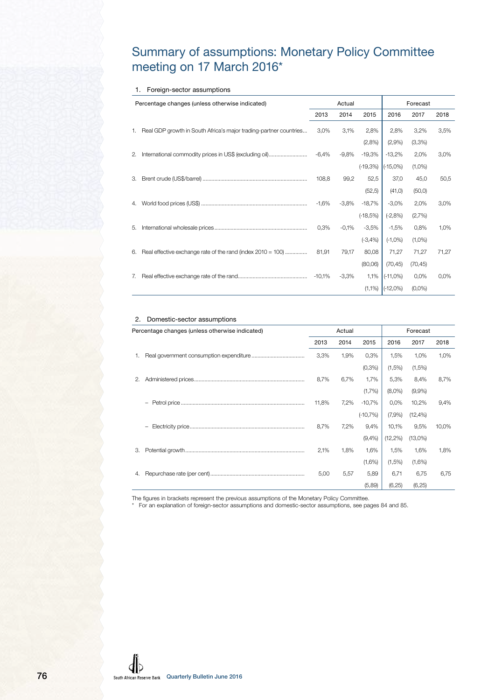## Summary of assumptions: Monetary Policy Committee meeting on 17 March 2016\*

#### 1. Foreign-sector assumptions

|    | Percentage changes (unless otherwise indicated)                   |          | Actual   |            |                    | Forecast  |       |
|----|-------------------------------------------------------------------|----------|----------|------------|--------------------|-----------|-------|
|    |                                                                   | 2013     | 2014     | 2015       | 2016               | 2017      | 2018  |
| 1. | Real GDP growth in South Africa's major trading-partner countries | 3,0%     | 3,1%     | 2,8%       | 2,8%               | 3,2%      | 3,5%  |
|    |                                                                   |          |          | (2,8%)     | (2,9%              | (3,3%)    |       |
| 2. | International commodity prices in US\$ (excluding oil)            | $-6,4%$  | $-9,8%$  | $-19,3%$   | $-13,2%$           | 2,0%      | 3,0%  |
|    |                                                                   |          |          | $(-19,3%)$ | $(-15,0\%)$        | $(1,0\%)$ |       |
| З. |                                                                   | 108,8    | 99,2     | 52,5       | 37,0               | 45,0      | 50,5  |
|    |                                                                   |          |          | (52,5)     | (41,0)             | (50, 0)   |       |
| 4. |                                                                   | $-1,6%$  | $-3,8\%$ | $-18,7%$   | $-3,0\%$           | 2,0%      | 3,0%  |
|    |                                                                   |          |          | $(-18,5%)$ | $(-2,8%)$          | (2,7%)    |       |
| 5. |                                                                   | 0.3%     | $-0.1\%$ | $-3.5%$    | $-1,5%$            | 0,8%      | 1,0%  |
|    |                                                                   |          |          | $(-3,4%)$  | $(-1,0\%)$         | $(1,0\%)$ |       |
| 6. | Real effective exchange rate of the rand (index 2010 = 100)       | 81.91    | 79,17    | 80,08      | 71,27              | 71,27     | 71,27 |
|    |                                                                   |          |          | (80,06)    | (70, 45)           | (70, 45)  |       |
| 7. |                                                                   | $-10.1%$ | $-3,3%$  | 1,1%       | $(-11,0\%)$        | $0.0\%$   | 0.0%  |
|    |                                                                   |          |          |            | $(1,1\%)$ (-12,0%) | $(0,0\%)$ |       |

#### 2. Domestic-sector assumptions

|    | Percentage changes (unless otherwise indicated) |       | Actual |            |             | Forecast    |       |
|----|-------------------------------------------------|-------|--------|------------|-------------|-------------|-------|
|    |                                                 | 2013  | 2014   | 2015       | 2016        | 2017        | 2018  |
|    |                                                 | 3,3%  | 1,9%   | 0,3%       | 1,5%        | 1,0%        | 1,0%  |
|    |                                                 |       |        | (0,3% )    | (1,5%)      | (1,5%)      |       |
| 2. |                                                 | 8,7%  | 6,7%   | 1,7%       | 5,3%        | 8,4%        | 8,7%  |
|    |                                                 |       |        | (1,7%)     | $(8.0\%)$   | $(9,9\%)$   |       |
|    |                                                 | 11,8% | 7,2%   | $-10,7%$   | $0.0\%$     | 10,2%       | 9,4%  |
|    |                                                 |       |        | $(-10,7%)$ | (7.9%       | $(12, 4\%)$ |       |
|    |                                                 | 8,7%  | 7,2%   | 9,4%       | 10,1%       | 9,5%        | 10,0% |
|    |                                                 |       |        | (9,4%      | $(12, 2\%)$ | $(13,0\%)$  |       |
| 3. |                                                 | 2.1%  | 1.8%   | 1.6%       | 1.5%        | 1,6%        | 1,8%  |
|    |                                                 |       |        | (1,6%)     | (1,5%)      | (1,6%)      |       |
| 4. |                                                 | 5,00  | 5,57   | 5,89       | 6,71        | 6,75        | 6,75  |
|    |                                                 |       |        | (5,89)     | (6,25)      | (6, 25)     |       |

The figures in brackets represent the previous assumptions of the Monetary Policy Committee.

\* For an explanation of foreign-sector assumptions and domestic-sector assumptions, see pages 84 and 85.